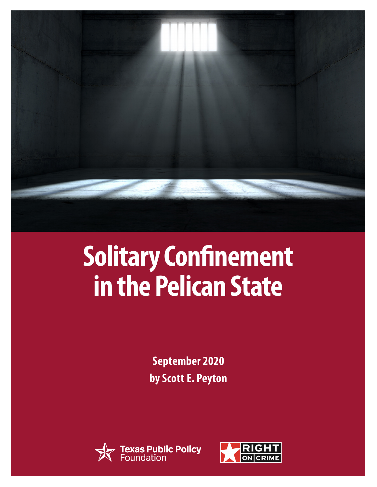

# **Solitary Confinement in the Pelican State**

**September 2020 by Scott E. Peyton**



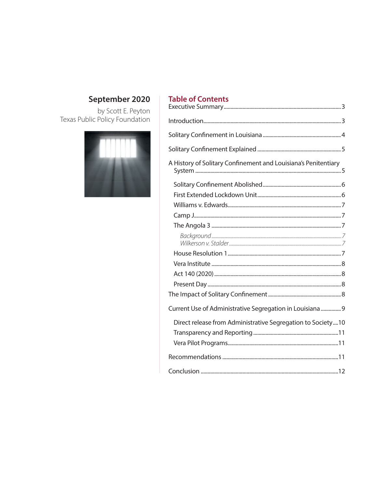# September 2020

by Scott E. Peyton<br>Texas Public Policy Foundation



## **Table of Contents**

| A History of Solitary Confinement and Louisiana's Penitentiary |  |
|----------------------------------------------------------------|--|
|                                                                |  |
|                                                                |  |
|                                                                |  |
|                                                                |  |
|                                                                |  |
|                                                                |  |
|                                                                |  |
|                                                                |  |
|                                                                |  |
|                                                                |  |
|                                                                |  |
| Current Use of Administrative Segregation in Louisiana  9      |  |
| Direct release from Administrative Segregation to Society10    |  |
|                                                                |  |
|                                                                |  |
|                                                                |  |
|                                                                |  |
|                                                                |  |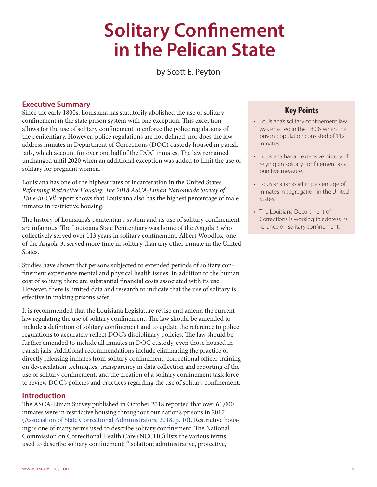# **Solitary Confinement in the Pelican State**

by Scott E. Peyton

#### <span id="page-2-0"></span>**Executive Summary**

Since the early 1800s, Louisiana has statutorily abolished the use of solitary confinement in the state prison system with one exception. This exception allows for the use of solitary confinement to enforce the police regulations of the penitentiary. However, police regulations are not defined, nor does the law address inmates in Department of Corrections (DOC) custody housed in parish jails, which account for over one half of the DOC inmates. The law remained unchanged until 2020 when an additional exception was added to limit the use of solitary for pregnant women.

Louisiana has one of the highest rates of incarceration in the United States. *Reforming Restrictive Housing: The 2018 ASCA-Liman Nationwide Survey of Time-in-Cell* report shows that Louisiana also has the highest percentage of male inmates in restrictive housing.

The history of Louisiana's penitentiary system and its use of solitary confinement are infamous. The Louisiana State Penitentiary was home of the Angola 3 who collectively served over 113 years in solitary confinement. Albert Woodfox, one of the Angola 3, served more time in solitary than any other inmate in the United States.

Studies have shown that persons subjected to extended periods of solitary confinement experience mental and physical health issues. In addition to the human cost of solitary, there are substantial financial costs associated with its use. However, there is limited data and research to indicate that the use of solitary is effective in making prisons safer.

It is recommended that the Louisiana Legislature revise and amend the current law regulating the use of solitary confinement. The law should be amended to include a definition of solitary confinement and to update the reference to police regulations to accurately reflect DOC's disciplinary policies. The law should be further amended to include all inmates in DOC custody, even those housed in parish jails. Additional recommendations include eliminating the practice of directly releasing inmates from solitary confinement, correctional officer training on de-escalation techniques, transparency in data collection and reporting of the use of solitary confinement, and the creation of a solitary confinement task force to review DOC's policies and practices regarding the use of solitary confinement.

#### **Introduction**

The ASCA-Liman Survey published in October 2018 reported that over 61,000 inmates were in restrictive housing throughout our nation's prisons in 2017 ([Association of State Correctional Administrators, 2018, p. 10\)](https://law.yale.edu/sites/default/files/area/center/liman/document/asca_liman_2018_restrictive_housing_released_oct_2018.pdf). Restrictive housing is one of many terms used to describe solitary confinement. The National Commission on Correctional Health Care (NCCHC) lists the various terms used to describe solitary confinement: "isolation; administrative, protective,

### **Key Points**

- Louisiana's solitary confinement law was enacted in the 1800s when the prison population consisted of 112 inmates.
- Louisiana has an extensive history of relying on solitary confinement as a punitive measure.
- Louisiana ranks #1 in percentage of inmates in segregation in the United States.
- The Louisiana Department of Corrections is working to address its reliance on solitary confinement.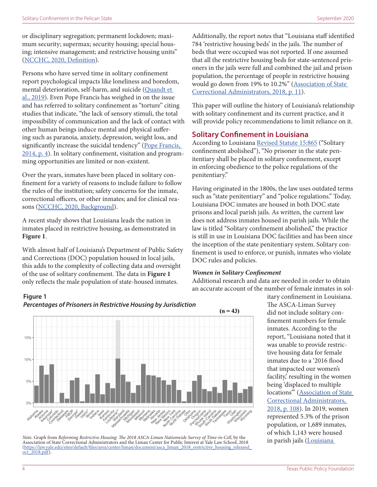<span id="page-3-0"></span>or disciplinary segregation; permanent lockdown; maximum security; supermax; security housing; special housing; intensive management; and restrictive housing units" ([NCCHC, 2020, Definition\)](https://www.ncchc.org/solitary-confinement).

Persons who have served time in solitary confinement report psychological impacts like loneliness and boredom, mental deterioration, self-harm, and suicide [\(Quandt et](https://solitarywatch.org/wp-content/uploads/2019/06/Louisiana-on-Lockdown-Report-June-2019.pdf)  [al., 2019](https://solitarywatch.org/wp-content/uploads/2019/06/Louisiana-on-Lockdown-Report-June-2019.pdf)). Even Pope Francis has weighed in on the issue and has referred to solitary confinement as "torture" citing studies that indicate, "the lack of sensory stimuli, the total impossibility of communication and the lack of contact with other human beings induce mental and physical suffering such as paranoia, anxiety, depression, weight loss, and significantly increase the suicidal tendency" (Pope Francis, [2014, p. 4\)](http://www.vatican.va/content/francesco/en/speeches/2014/october/documents/papa-francesco_20141023_associazione-internazionale-diritto-penale.html). In solitary confinement, visitation and programming opportunities are limited or non-existent.

Over the years, inmates have been placed in solitary confinement for a variety of reasons to include failure to follow the rules of the institution; safety concerns for the inmate, correctional officers, or other inmates; and for clinical reasons ([NCCHC, 2020, Background](https://www.ncchc.org/solitary-confinement)).

A recent study shows that Louisiana leads the nation in inmates placed in restrictive housing, as demonstrated in **Figure 1**.

With almost half of Louisiana's Department of Public Safety and Corrections (DOC) population housed in local jails, this adds to the complexity of collecting data and oversight of the use of solitary confinement. The data in **Figure 1** only reflects the male population of state-housed inmates.

Additionally, the report notes that "Louisiana staff identified 784 'restrictive housing beds' in the jails. The number of beds that were occupied was not reported. If one assumed that all the restrictive housing beds for state-sentenced prisoners in the jails were full and combined the jail and prison population, the percentage of people in restrictive housing would go down from 19% to 10.2%" (Association of State [Correctional Administrators, 2018, p. 11\)](https://law.yale.edu/sites/default/files/area/center/liman/document/asca_liman_2018_restrictive_housing_released_oct_2018.pdf).

This paper will outline the history of Louisiana's relationship with solitary confinement and its current practice, and it will provide policy recommendations to limit reliance on it.

#### **Solitary Confinement in Louisiana**

According to Louisiana [Revised Statute 15:865](https://www.legis.la.gov/Legis/Law.aspx?d=79426) ("Solitary confinement abolished"), "No prisoner in the state penitentiary shall be placed in solitary confinement, except in enforcing obedience to the police regulations of the penitentiary."

Having originated in the 1800s, the law uses outdated terms such as "state penitentiary" and "police regulations." Today, Louisiana DOC inmates are housed in both DOC state prisons and local parish jails. As written, the current law does not address inmates housed in parish jails. While the law is titled "Solitary confinement abolished," the practice is still in use in Louisiana DOC facilities and has been since the inception of the state penitentiary system. Solitary confinement is used to enforce, or punish, inmates who violate DOC rules and policies.

#### *Women in Solitary Confinement*

Additional research and data are needed in order to obtain an accurate account of the number of female inmates in sol-

**Figure 1**



*Percentages of Prisoners in Restrictive Housing by Jurisdiction*

*Note.* Graph from *Reforming Restrictive Housing: The 2018 ASCA-Liman Nationwide Survey of Time-in-Cell*, by the Association of State Correctional Administrators and the Liman Center for Public Interest at Yale Law School, 2018<br>(https://law.yale.edu/sites/default/files/area/center/liman/document/asca\_liman\_2018\_restrictive\_housing\_re [oct\\_2018.pdf](https://law.yale.edu/sites/default/files/area/center/liman/document/asca_liman_2018_restrictive_housing_released_oct_2018.pdf)).

itary confinement in Louisiana. The ASCA-Liman Survey did not include solitary confinement numbers for female inmates. According to the report, "Louisiana noted that it was unable to provide restrictive housing data for female inmates due to a '2016 flood that impacted our women's facility, resulting in the women being 'displaced to multiple locations" (Association of State [Correctional Administrators,](https://law.yale.edu/sites/default/files/area/center/liman/document/asca_liman_2018_restrictive_housing_released_oct_2018.pdf)  [2018, p. 108](https://law.yale.edu/sites/default/files/area/center/liman/document/asca_liman_2018_restrictive_housing_released_oct_2018.pdf)). In 2019, women represented 5.3% of the prison population, or 1,689 inmates, of which 1,143 were housed in parish jails [\(Louisiana](https://s32082.pcdn.co/wp-content/uploads/2020/03/0B-Demographics-1.pdf)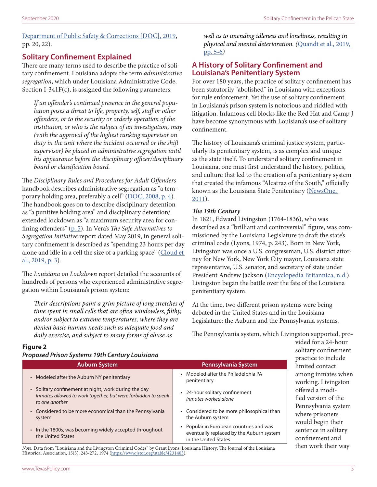<span id="page-4-0"></span>[Department of Public Safety & Corrections \[DOC\], 2019](https://s32082.pcdn.co/wp-content/uploads/2020/03/0B-Demographics-1.pdf), pp. 20, 22).

#### **Solitary Confinement Explained**

There are many terms used to describe the practice of solitary confinement. Louisiana adopts the term *administrative segregation*, which under Louisiana Administrative Code, Section I-341F(c), is assigned the following parameters:

*If an offender's continued presence in the general population poses a threat to life, property, self, staff or other offenders, or to the security or orderly operation of the institution, or who is the subject of an investigation, may (with the approval of the highest ranking supervisor on duty in the unit where the incident occurred or the shift supervisor) be placed in administrative segregation until his appearance before the disciplinary officer/disciplinary board or classification board.* 

The *Disciplinary Rules and Procedures for Adult Offenders* handbook describes administrative segregation as "a tem-porary holding area, preferably a cell" (DO[C, 2008, p. 4](https://www.law.umich.edu/special/policyclearinghouse/Documents/LA%20B-05-001%20Offender%20Rule%20Book%20OCR.pdf)). The handbook goes on to describe disciplinary detention as "a punitive holding area" and disciplinary detention/ extended lockdown as "a maximum security area for confining offenders" [\(p. 5](https://www.law.umich.edu/special/policyclearinghouse/Documents/LA%20B-05-001%20Offender%20Rule%20Book%20OCR.pdf)). In Vera's *The Safe Alternatives to Segregation Initiative* report dated May 2019, in general solitary confinement is described as "spending 23 hours per day alone and idle in a cell the size of a parking space" (Cloud et [al., 2019, p. 3\)](https://www.vera.org/downloads/publications/safe-alternatives-segregation-initiative-findings-recommendations-ldps.pdf).

The *Louisiana on Lockdown* report detailed the accounts of hundreds of persons who experienced administrative segregation within Louisiana's prison system:

*Their descriptions paint a grim picture of long stretches of time spent in small cells that are often windowless, filthy, and/or subject to extreme temperatures, where they are denied basic human needs such as adequate food and daily exercise, and subject to many forms of abuse as* 

*well as to unending idleness and loneliness, resulting in physical and mental deterioration. (*[Quandt et al., 2019,](https://solitarywatch.org/wp-content/uploads/2019/06/Louisiana-on-Lockdown-Report-June-2019.pdf)  [pp. 5-6](https://solitarywatch.org/wp-content/uploads/2019/06/Louisiana-on-Lockdown-Report-June-2019.pdf)*)*

#### **A History of Solitary Confinement and Louisiana's Penitentiary System**

For over 180 years, the practice of solitary confinement has been statutorily "abolished" in Louisiana with exceptions for rule enforcement. Yet the use of solitary confinement in Louisiana's prison system is notorious and riddled with litigation. Infamous cell blocks like the Red Hat and Camp J have become synonymous with Louisiana's use of solitary confinement.

The history of Louisiana's criminal justice system, particularly its penitentiary system, is as complex and unique as the state itself. To understand solitary confinement in Louisiana, one must first understand the history, politics, and culture that led to the creation of a penitentiary system that created the infamous "Alcatraz of the South," officially known as the Louisiana State Penitentiary (NewsOne, [2011](https://newsone.com/1565605/most-notorious-prisons-in-the-us/)).

#### *The 19th Century*

In 1821, Edward Livingston (1764-1836), who was described as a "brilliant and controversial" figure, was commissioned by the Louisiana Legislature to draft the state's criminal code (Lyons, 1974, p. 243). Born in New York, Livingston was once a U.S. congressman, U.S. district attorney for New York, New York City mayor, Louisiana state representative, U.S. senator, and secretary of state under President Andrew Jackson [\(Encyclopedia Britannica, n.d.](http://www.britannica.com/biography/Edward-Livingston)). Livingston began the battle over the fate of the Louisiana penitentiary system.

At the time, two different prison systems were being debated in the United States and in the Louisiana Legislature: the Auburn and the Pennsylvania systems.

The Pennsylvania system, which Livingston supported, pro-

#### **Figure 2**

*Proposed Prison Systems 19th Century Louisiana*

| <b>Auburn System</b>                                                                                                                    | Pennsylvania System                                                                                         |
|-----------------------------------------------------------------------------------------------------------------------------------------|-------------------------------------------------------------------------------------------------------------|
| • Modeled after the Auburn NY penitentiary                                                                                              | • Modeled after the Philadelphia PA<br>penitentiary                                                         |
| • Solitary confinement at night, work during the day<br>Inmates allowed to work together, but were forbidden to speak<br>to one another | • 24-hour solitary confinement<br>Inmates worked alone                                                      |
| • Considered to be more economical than the Pennsylvania<br>system                                                                      | • Considered to be more philosophical than<br>the Auburn system                                             |
| • In the 1800s, was becoming widely accepted throughout<br>the United States                                                            | • Popular in European countries and was<br>eventually replaced by the Auburn system<br>in the United States |

*Note.* Data from "Louisiana and the Livingston Criminal Codes" by Grant Lyons, Louisiana History: The Journal of the Louisiana Historical Association, 15(3), 243-272, 1974 (<https://www.jstor.org/stable/4231403>).

vided for a 24-hour solitary confinement practice to include limited contact among inmates when working. Livingston offered a modified version of the Pennsylvania system where prisoners would begin their sentence in solitary confinement and then work their way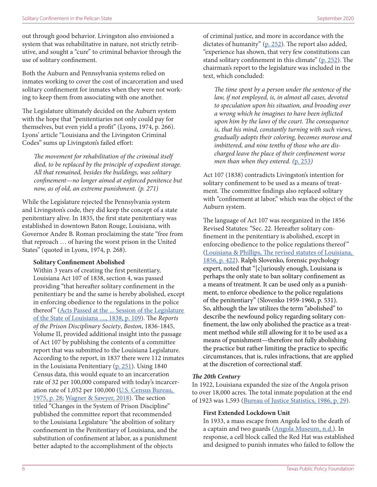<span id="page-5-0"></span>out through good behavior. Livingston also envisioned a system that was rehabilitative in nature, not strictly retributive, and sought a "cure" to criminal behavior through the use of solitary confinement.

Both the Auburn and Pennsylvania systems relied on inmates working to cover the cost of incarceration and used solitary confinement for inmates when they were not working to keep them from associating with one another.

The Legislature ultimately decided on the Auburn system with the hope that "penitentiaries not only could pay for themselves, but even yield a profit" (Lyons, 1974, p. 266). Lyons' article "Louisiana and the Livingston Criminal Codes" sums up Livingston's failed effort:

*The movement for rehabilitation of the criminal itself died, to be replaced by the principle of expedient storage. All that remained, besides the buildings, was solitary confinement—no longer aimed at enforced penitence but now, as of old, an extreme punishment. (p. 271)* 

While the Legislature rejected the Pennsylvania system and Livingston's code, they did keep the concept of a state penitentiary alive. In 1835, the first state penitentiary was established in downtown Baton Rouge, Louisiana, with Governor Andre B. Roman proclaiming the state "free from that reproach … of having the worst prison in the United States" (quoted in Lyons, 1974, p. 268).

#### **Solitary Confinement Abolished**

Within 3 years of creating the first penitentiary, Louisiana Act 107 of 1838, section 4, was passed providing "that hereafter solitary confinement in the penitentiary be and the same is hereby abolished, except in enforcing obedience to the regulations in the police thereof" (Acts Passed at the ... Session of the Legislature [of the State of Louisiana ...., 1838, p. 109](https://www.google.com/books/edition/Acts_Passed_at_the_Session_of_the_Legisl/AH5GAQAAIAAJ?hl=en&gbpv=0)). The *Reports of the Prison Disciplinary Society*, *Boston*, 1836-1845, Volume II, provided additional insight into the passage of Act 107 by publishing the contents of a committee report that was submitted to the Louisiana Legislature. According to the report, in 1837 there were 112 inmates in the Louisiana Penitentiary [\(p. 251](https://www.google.com/books/edition/Reports_of_the_Prison_Discipline_Society/NdRoAAAAcAAJ?hl=en&gbpv=1)). Using 1840 Census data, this would equate to an incarceration rate of 32 per 100,000 compared with today's incarceration rate of 1,052 per 100,000 [\(U.S. Census Bureau,](https://www.census.gov/history/pdf/histstats-colonial-1970.pdf)  [1975, p. 28](https://www.census.gov/history/pdf/histstats-colonial-1970.pdf); [Wagner & Sawyer, 2018\)](https://www.prisonpolicy.org/global/2018.html). The section titled "Changes in the System of Prison Discipline" published the committee report that recommended to the Louisiana Legislature "the abolition of solitary confinement in the Penitentiary of Louisiana, and the substitution of confinement at labor, as a punishment better adapted to the accomplishment of the objects

of criminal justice, and more in accordance with the dictates of humanity" [\(p. 252\)](https://www.google.com/books/edition/Reports_of_the_Prison_Discipline_Society/NdRoAAAAcAAJ?hl=en&gbpv=1). The report also added, "experience has shown, that very few constitutions can stand solitary confinement in this climate" ([p. 252](https://www.google.com/books/edition/Reports_of_the_Prison_Discipline_Society/NdRoAAAAcAAJ?hl=en&gbpv=1)). The chairman's report to the legislature was included in the text, which concluded:

*The time spent by a person under the sentence of the law, if not employed, is, in almost all cases, devoted to speculation upon his situation, and brooding over a wrong which he imagines to have been inflicted upon him by the laws of the court. The consequence is, that his mind, constantly turning with such views, gradually adopts their coloring, becomes morose and imbittered, and nine tenths of those who are discharged leave the place of their confinement worse men than when they entered. (*[p. 253](https://www.google.com/books/edition/Reports_of_the_Prison_Discipline_Society/NdRoAAAAcAAJ?hl=en&gbpv=1)*)*

Act 107 (1838) contradicts Livingston's intention for solitary confinement to be used as a means of treatment. The committee findings also replaced solitary with "confinement at labor," which was the object of the Auburn system.

The language of Act 107 was reorganized in the 1856 Revised Statutes: "Sec. 22. Hereafter solitary confinement in the penitentiary is abolished, except in enforcing obedience to the police regulations thereof" ([Louisiana & Phillips, The revised statutes of Louisiana,](https://babel.hathitrust.org/cgi/pt?id=nyp.33433007133444&view=1up&seq=7)  [1856, p. 422](https://babel.hathitrust.org/cgi/pt?id=nyp.33433007133444&view=1up&seq=7)). Ralph Slovenko, forensic psychology expert, noted that "[c]uriously enough, Louisiana is perhaps the only state to ban solitary confinement as a means of treatment. It can be used only as a punishment, to enforce obedience to the police regulations of the penitentiary" (Slovenko 1959-1960, p. 531). So, although the law utilizes the term "abolished" to describe the newfound policy regarding solitary confinement, the law only abolished the practice as a treatment method while still allowing for it to be used as a means of punishment—therefore not fully abolishing the practice but rather limiting the practice to specific circumstances, that is, rules infractions, that are applied at the discretion of correctional staff.

#### *The 20th Century*

In 1922, Louisiana expanded the size of the Angola prison to over 18,000 acres. The total inmate population at the end of 1923 was 1,593 ([Bureau of Justice Statistics, 1986, p. 29\)](https://www.bjs.gov/content/pub/pdf/hcsus5084.pdf).

#### **First Extended Lockdown Unit**

In 1933, a mass escape from Angola led to the death of a captain and two guards ([Angola Museum, n.d.\)](https://www.angolamuseum.org/history-of-angola). In response, a cell block called the Red Hat was established and designed to punish inmates who failed to follow the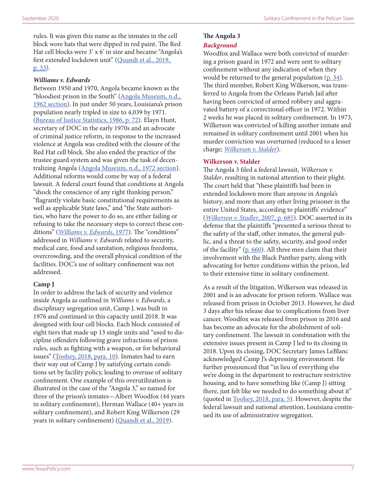<span id="page-6-0"></span>rules. It was given this name as the inmates in the cell block wore hats that were dipped in red paint. The Red Hat cell blocks were 3' x 6' in size and became "Angola's first extended lockdown unit" ([Quandt et al., 2019,](https://solitarywatch.org/wp-content/uploads/2019/06/Louisiana-on-Lockdown-Report-June-2019.pdf)  [p. 33](https://solitarywatch.org/wp-content/uploads/2019/06/Louisiana-on-Lockdown-Report-June-2019.pdf)).

#### *Williams v. Edwards*

Between 1950 and 1970, Angola became known as the "bloodiest prison in the South" ([Angola Museum, n.d.,](https://www.angolamuseum.org/history-of-angola)  [1962 section](https://www.angolamuseum.org/history-of-angola)). In just under 50 years, Louisiana's prison population nearly tripled in size to 4,039 by 1971. ([Bureau of Justice Statistics, 1986, p. 72\)](https://www.bjs.gov/content/pub/pdf/hcsus5084.pdf). Elayn Hunt, secretary of DOC in the early 1970s and an advocate of criminal justice reform, in response to the increased violence at Angola was credited with the closure of the Red Hat cell block. She also ended the practice of the trustee guard system and was given the task of decentralizing Angola [\(Angola Museum, n.d., 1972 section](https://www.angolamuseum.org/history-of-angola)). Additional reforms would come by way of a federal lawsuit. A federal court found that conditions at Angola "shock the conscience of any right thinking person," "flagrantly violate basic constitutional requirements as well as applicable State laws," and "the State authorities, who have the power to do so, are either failing or refusing to take the necessary steps to correct these conditions" (*[Williams v. Edwards](https://casetext.com/case/williams-v-edwards)*, 1977). The "conditions" addressed in *Williams v. Edwards* related to security, medical care, food and sanitation, religious freedoms, overcrowding, and the overall physical condition of the facilities. DOC's use of solitary confinement was not addressed.

#### **Camp J**

In order to address the lack of security and violence inside Angola as outlined in *Williams v. Edwards*, a disciplinary segregation unit, Camp J, was built in 1976 and continued in this capacity until 2018. It was designed with four cell blocks. Each block consisted of eight tiers that made up 13 single units and "used to discipline offenders following grave infractions of prison rules, such as fighting with a weapon, or for behavioral issues" ([Toohey, 2018, para. 10\)](https://www.theadvocate.com/baton_rouge/news/crime_police/article_b39f1e82-4d84-11e8-bbc2-1ff70a3227e7.html). Inmates had to earn their way out of Camp J by satisfying certain conditions set by facility policy, leading to overuse of solitary confinement. One example of this overutilization is illustrated in the case of the "Angola 3," so named for three of the prison's inmates—Albert Woodfox (44 years in solitary confinement), Herman Wallace (40+ years in solitary confinement), and Robert King Wilkerson (29 years in solitary confinement) [\(Quandt et al., 2019\)](https://solitarywatch.org/wp-content/uploads/2019/06/Louisiana-on-Lockdown-Report-June-2019.pdf).

# **The Angola 3**

#### *Background*

Woodfox and Wallace were both convicted of murdering a prison guard in 1972 and were sent to solitary confinement without any indication of when they would be returned to the general population  $(p. 34)$  $(p. 34)$ . The third member, Robert King Wilkerson, was transferred to Angola from the Orleans Parish Jail after having been convicted of armed robbery and aggravated battery of a correctional officer in 1972. Within 2 weeks he was placed in solitary confinement. In 1973, Wilkerson was convicted of killing another inmate and remained in solitary confinement until 2001 when his murder conviction was overturned (reduced to a lesser charge; *[Wilkerson v. Stalder](https://www.courtlistener.com/opinion/2520775/wilkerson-v-stalder/)*).

#### **Wilkerson v. Stalder**

The Angola 3 filed a federal lawsuit, *Wilkerson v. Stalder*, resulting in national attention to their plight. The court held that "these plaintiffs had been in extended lockdown more than anyone in Angola's history, and more than any other living prisoner in the entire United States, according to plaintiffs' evidence" (*[Wilkerson v. Stadler](https://www.courtlistener.com/opinion/2520775/wilkerson-v-stalder/)*, 2007, p. 685). DOC asserted in its defense that the plaintiffs "presented a serious threat to the safety of the staff, other inmates, the general public, and a threat to the safety, security, and good order of the facility" [\(p. 660](https://www.courtlistener.com/opinion/2520775/wilkerson-v-stalder/)). All three men claim that their involvement with the Black Panther party, along with advocating for better conditions within the prison, led to their extensive time in solitary confinement.

As a result of the litigation, Wilkerson was released in 2001 and is an advocate for prison reform. Wallace was released from prison in October 2013. However, he died 3 days after his release due to complications from liver cancer. Woodfox was released from prison in 2016 and has become an advocate for the abolishment of solitary confinement. The lawsuit in combination with the extensive issues present in Camp J led to its closing in 2018. Upon its closing, DOC Secretary James LeBlanc acknowledged Camp J's depressing environment. He further pronounced that "in lieu of everything else we're doing in the department to restructure restrictive housing, and to have something like (Camp J) sitting there, just felt like we needed to do something about it" (quoted in [Toohey, 2018, para. 5](https://www.theadvocate.com/baton_rouge/news/crime_police/article_b39f1e82-4d84-11e8-bbc2-1ff70a3227e7.html)). However, despite the federal lawsuit and national attention, Louisiana continued its use of administrative segregation.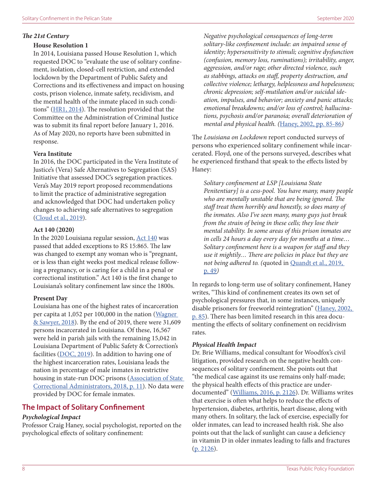#### <span id="page-7-0"></span>**House Resolution 1**

In 2014, Louisiana passed House Resolution 1, which requested DOC to "evaluate the use of solitary confinement, isolation, closed-cell restriction, and extended lockdown by the Department of Public Safety and Corrections and its effectiveness and impact on housing costs, prison violence, inmate safety, recidivism, and the mental health of the inmate placed in such conditions" [\(HR1, 2014\)](https://www.legis.la.gov/Legis/BillInfo.aspx?i=225166&sbi=y). The resolution provided that the Committee on the Administration of Criminal Justice was to submit its final report before January 1, 2016. As of May 2020, no reports have been submitted in response.

#### **Vera Institute**

In 2016, the DOC participated in the Vera Institute of Justice's (Vera) Safe Alternatives to Segregation (SAS) Initiative that assessed DOC's segregation practices. Vera's May 2019 report proposed recommendations to limit the practice of administrative segregation and acknowledged that DOC had undertaken policy changes to achieving safe alternatives to segregation ([Cloud et al., 2019](https://www.vera.org/downloads/publications/safe-alternatives-segregation-initiative-findings-recommendations-ldps.pdf)).

#### **Act 140 (2020)**

In the 2020 Louisiana regular session, [Act 140](https://www.legis.la.gov/legis/ViewDocument.aspx?d=1181449) was passed that added exceptions to RS 15:865. The law was changed to exempt any woman who is "pregnant, or is less than eight weeks post medical release following a pregnancy, or is caring for a child in a penal or correctional institution." Act 140 is the first change to Louisiana's solitary confinement law since the 1800s.

#### **Present Day**

Louisiana has one of the highest rates of incarceration per capita at 1,052 per 100,000 in the nation ([Wagner](https://www.prisonpolicy.org/global/2018.html)  [& Sawyer, 2018\)](https://www.prisonpolicy.org/global/2018.html). By the end of 2019, there were 31,609 persons incarcerated in Louisiana. Of these, 16,567 were held in parish jails with the remaining 15,042 in Louisiana Department of Public Safety & Correction's facilities  $(DOC, 2019)$  $(DOC, 2019)$ . In addition to having one of the highest incarceration rates, Louisiana leads the nation in percentage of male inmates in restrictive housing in state-run DOC prisons ([Association of State](https://law.yale.edu/sites/default/files/area/center/liman/document/asca_liman_2018_restrictive_housing_released_oct_2018.pdf)  [Correctional Administrators, 2018, p. 11\)](https://law.yale.edu/sites/default/files/area/center/liman/document/asca_liman_2018_restrictive_housing_released_oct_2018.pdf). No data were provided by DOC for female inmates.

#### **The Impact of Solitary Confinement**

#### *Psychological Impact*

Professor Craig Haney, social psychologist, reported on the psychological effects of solitary confinement:

*Negative psychological consequences of long-term solitary-like confinement include: an impaired sense of identity; hypersensitivity to stimuli; cognitive dysfunction (confusion, memory loss, ruminations); irritability, anger, aggression, and/or rage; other directed violence, such as stabbings, attacks on staff, property destruction, and collective violence; lethargy, helplessness and hopelessness; chronic depression; self-mutilation and/or suicidal ideation, impulses, and behavior; anxiety and panic attacks; emotional breakdowns; and/or loss of control; hallucinations, psychosis and/or paranoia; overall deterioration of mental and physical health. (*[Haney, 2002, pp. 85-86](http://webarchive.urban.org/UploadedPDF/410624_PyschologicalImpact.pdf)*)*

The *Louisiana on Lockdown* report conducted surveys of persons who experienced solitary confinement while incarcerated. Floyd, one of the persons surveyed, describes what he experienced firsthand that speak to the effects listed by Haney:

*Solitary confinement at LSP [Louisiana State Penitentiary] is a cess-pool. You have many, many people who are mentally unstable that are being ignored. The staff treat them horribly and honestly, so does many of the inmates. Also I've seen many, many guys just break from the strain of being in these cells; they lose their mental stability. In some areas of this prison inmates are in cells 24 hours a day every day for months at a time… Solitary confinement here is a weapon for staff and they use it mightily… There are policies in place but they are not being adhered to. (*quoted in [Quandt et al., 2019,](https://solitarywatch.org/wp-content/uploads/2019/06/Louisiana-on-Lockdown-Report-June-2019.pdf)  [p. 49](https://solitarywatch.org/wp-content/uploads/2019/06/Louisiana-on-Lockdown-Report-June-2019.pdf)*)*

In regards to long-term use of solitary confinement, Haney writes, "This kind of confinement creates its own set of psychological pressures that, in some instances, uniquely disable prisoners for freeworld reintegration" [\(Haney, 2002,](http://webarchive.urban.org/UploadedPDF/410624_PyschologicalImpact.pdf)  [p. 85](http://webarchive.urban.org/UploadedPDF/410624_PyschologicalImpact.pdf)). There has been limited research in this area documenting the effects of solitary confinement on recidivism rates.

#### *Physical Health Impact*

Dr. Brie Williams, medical consultant for Woodfox's civil litigation, provided research on the negative health consequences of solitary confinement. She points out that "the medical case against its use remains only half-made; the physical health effects of this practice are underdocumented" ([Williams, 2016, p. 2126](https://doi.org/10.2105/AJPH.2016.303468)). Dr. Williams writes that exercise is often what helps to reduce the effects of hypertension, diabetes, arthritis, heart disease, along with many others. In solitary, the lack of exercise, especially for older inmates, can lead to increased health risk. She also points out that the lack of sunlight can cause a deficiency in vitamin D in older inmates leading to falls and fractures  $(p. 2126)$  $(p. 2126)$  $(p. 2126)$ .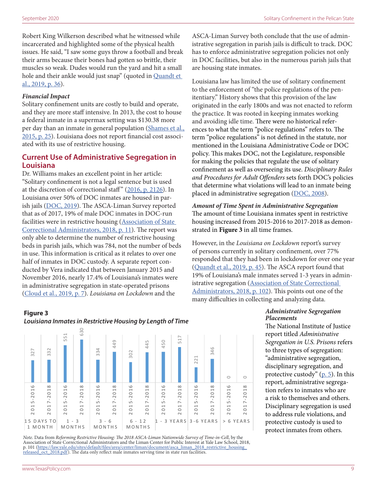<span id="page-8-0"></span>Robert King Wilkerson described what he witnessed while incarcerated and highlighted some of the physical health issues. He said, "I saw some guys throw a football and break their arms because their bones had gotten so brittle, their muscles so weak. Dudes would run the yard and hit a small hole and their ankle would just snap" (quoted in [Quandt et](https://solitarywatch.org/wp-content/uploads/2019/06/Louisiana-on-Lockdown-Report-June-2019.pdf)  [al., 2019, p. 36](https://solitarywatch.org/wp-content/uploads/2019/06/Louisiana-on-Lockdown-Report-June-2019.pdf)).

#### *Financial Impact*

Solitary confinement units are costly to build and operate, and they are more staff intensive. In 2013, the cost to house a federal inmate in a supermax setting was \$130.38 more per day than an inmate in general population (Shames et al., [2015, p. 25](https://www.safealternativestosegregation.org/resource/solitary-confinement/)). Louisiana does not report financial cost associated with its use of restrictive housing.

#### **Current Use of Administrative Segregation in Louisiana**

Dr. Williams makes an excellent point in her article: "Solitary confinement is not a legal sentence but is used at the discretion of correctional staff" ([2016, p. 2126](https://www.ncbi.nlm.nih.gov/pmc/articles/PMC5105008/pdf/AJPH.2016.303468.pdf)). In Louisiana over 50% of DOC inmates are housed in parish jails ([DOC, 2019](https://s32082.pcdn.co/wp-content/uploads/2020/03/0B-Demographics-1.pdf)). The ASCA-Liman Survey reported that as of 2017, 19% of male DOC inmates in DOC-run facilities were in restrictive housing [\(Association of State](https://law.yale.edu/sites/default/files/area/center/liman/document/asca_liman_2018_restrictive_housing_released_oct_2018.pdf)  [Correctional Administrators, 2018, p. 11\)](https://law.yale.edu/sites/default/files/area/center/liman/document/asca_liman_2018_restrictive_housing_released_oct_2018.pdf). The report was only able to determine the number of restrictive housing beds in parish jails, which was 784, not the number of beds in use. This information is critical as it relates to over one half of inmates in DOC custody. A separate report conducted by Vera indicated that between January 2015 and November 2016, nearly 17.4% of Louisiana's inmates were in administrative segregation in state-operated prisons ([Cloud et al., 2019, p. 7](https://www.vera.org/downloads/publications/safe-alternatives-segregation-initiative-findings-recommendations-ldps.pdf)). *Louisiana on Lockdown* and the many difficul

#### **BY LENGTH OF TIME** *Louisiana Inmates in Restrictive Housing by Length of Time* **Figure 3**



*Note*. Data from *Reforming Restrictive Housing: The 2018 ASCA-Liman Nationwide Survey of Time-in-Cell*, by the Association of State Correctional Administrators and the Liman Center for Public Interest at Yale Law School, 2018, p. 101 [\(https://law.yale.edu/sites/default/files/area/center/liman/document/asca\\_liman\\_2018\\_restrictive\\_housing\\_](https://law.yale.edu/sites/default/files/area/center/liman/document/asca_liman_2018_restrictive_housing_released_oct_2018.pdf) [released\\_oct\\_2018.pdf\)](https://law.yale.edu/sites/default/files/area/center/liman/document/asca_liman_2018_restrictive_housing_released_oct_2018.pdf). The data only reflect male inmates serving time in state run facilities.

ASCA-Liman Survey both conclude that the use of administrative segregation in parish jails is difficult to track. DOC has to enforce administrative segregation policies not only in DOC facilities, but also in the numerous parish jails that are housing state inmates.

Louisiana law has limited the use of solitary confinement to the enforcement of "the police regulations of the penitentiary." History shows that this provision of the law originated in the early 1800s and was not enacted to reform the practice. It was rooted in keeping inmates working and avoiding idle time. There were no historical references to what the term "police regulations" refers to. The term "police regulations" is not defined in the statute, nor mentioned in the Louisiana Administrative Code or DOC policy. This makes DOC, not the Legislature, responsible for making the policies that regulate the use of solitary confinement as well as overseeing its use. *Disciplinary Rules and Procedures for Adult Offenders* sets forth DOC's policies that determine what violations will lead to an inmate being placed in administrative segregation [\(DOC, 2008\)](https://www.law.umich.edu/special/policyclearinghouse/Documents/LA%20B-05-001%20Offender%20Rule%20Book%20OCR.pdf).

*Amount of Time Spent in Administrative Segregation* The amount of time Louisiana inmates spent in restrictive housing increased from 2015-2016 to 2017-2018 as demonstrated in **Figure 3** in all time frames.

However, in the *Louisiana on Lockdown* report's survey of persons currently in solitary confinement, over 77% responded that they had been in lockdown for over one year ([Quandt et al., 2019, p. 45\)](https://solitarywatch.org/wp-content/uploads/2019/06/Louisiana-on-Lockdown-Report-June-2019.pdf). The ASCA report found that 19% of Louisiana's male inmates served 1-3 years in administrative segregation (Association of State Correctional [Administrators, 2018, p. 102](https://law.yale.edu/sites/default/files/area/center/liman/document/asca_liman_2018_restrictive_housing_released_oct_2018.pdf)). This points out one of the many difficulties in collecting and analyzing data.

#### *Administrative Segregation Placements*

The National Institute of Justice report titled *Administrative Segregation in U.S. Prisons* refers to three types of segregation: "administrative segregation, disciplinary segregation, and protective custody"  $(p, 5)$ . In this report, administrative segregation refers to inmates who are a risk to themselves and others. Disciplinary segregation is used to address rule violations, and protective custody is used to protect inmates from others.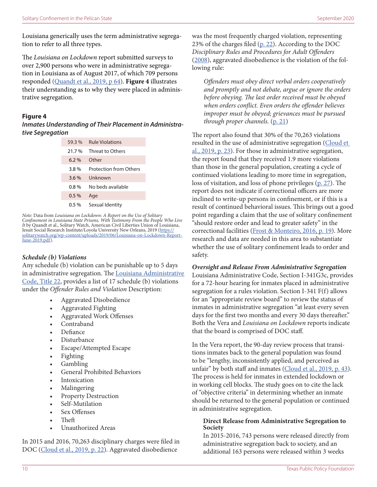<span id="page-9-0"></span>Louisiana generically uses the term administrative segregation to refer to all three types.

The *Louisiana on Lockdown* report submitted surveys to over 2,900 persons who were in administrative segregation in Louisiana as of August 2017, of which 709 persons responded ([Quandt et al., 2019, p 64](https://solitarywatch.org/wp-content/uploads/2019/06/Louisiana-on-Lockdown-Report-June-2019.pdf)). **Figure 4** illustrates their understanding as to why they were placed in administrative segregation.

#### **Figure 4**

*Inmates Understanding of Their Placement in Administrative Segregation*

| 59.3%   | <b>Rule Violations</b>        |
|---------|-------------------------------|
| 21.7%   | Threat to Others              |
| $6.2\%$ | Other                         |
| 3.8%    | <b>Protection from Others</b> |
| 3.6%    | Unknown                       |
| 0.8%    | No heds available             |
| $0.5\%$ | Age                           |
| 0.5 %   | Sexual Identity               |

*Note:* Data from *Louisiana on Lockdown: A Report on the Use of Solitary Confinement in Louisiana State Prisons, With Testimony From the People Who Live It* by Quandt et al., Solitary Watch, American Civil Liberties Union of Louisiana, Jesuit Social Research Institute/Loyola University New Orleans, 2019 ([https://](https://solitarywatch.org/wp-content/uploads/2019/06/Louisiana-on-Lockdown-Report-June-2019.pdf) [solitarywatch.org/wp-content/uploads/2019/06/Louisiana-on-Lockdown-Report-](https://solitarywatch.org/wp-content/uploads/2019/06/Louisiana-on-Lockdown-Report-June-2019.pdf)[June-2019.pdf\)](https://solitarywatch.org/wp-content/uploads/2019/06/Louisiana-on-Lockdown-Report-June-2019.pdf).

#### *Schedule (b) Violations*

Any schedule (b) violation can be punishable up to 5 days in administrative segregation. The [Louisiana Administrative](https://casetext.com/regulation/louisiana-administrative-code/title-22-corrections-criminal-justice-and-law-enforcement)  [Code, Title 22,](https://casetext.com/regulation/louisiana-administrative-code/title-22-corrections-criminal-justice-and-law-enforcement) provides a list of 17 schedule (b) violations under the *Offender Rules and Violation* Description:

- Aggravated Disobedience
- Aggravated Fighting
- Aggravated Work Offenses
- Contraband
- Defiance
- Disturbance
- Escape/Attempted Escape
- Fighting
- Gambling
- General Prohibited Behaviors
- **Intoxication**
- Malingering
- Property Destruction
- Self-Mutilation
- Sex Offenses
- Theft
- Unauthorized Areas

In 2015 and 2016, 70,263 disciplinary charges were filed in DOC [\(Cloud et al., 2019, p. 22\)](https://www.vera.org/downloads/publications/safe-alternatives-segregation-initiative-findings-recommendations-ldps.pdf). Aggravated disobedience

was the most frequently charged violation, representing 23% of the charges filed [\(p. 22](https://www.vera.org/downloads/publications/safe-alternatives-segregation-initiative-findings-recommendations-ldps.pdf)). According to the DOC *Disciplinary Rules and Procedures for Adult Offenders* ([2008\)](https://www.law.umich.edu/special/policyclearinghouse/Documents/LA%20B-05-001%20Offender%20Rule%20Book%20OCR.pdf), aggravated disobedience is the violation of the following rule:

*Offenders must obey direct verbal orders cooperatively and promptly and not debate, argue or ignore the orders before obeying. The last order received must be obeyed when orders conflict. Even orders the offender believes improper must be obeyed; grievances must be pursued through proper channels.* [\(p. 21](https://www.law.umich.edu/special/policyclearinghouse/Documents/LA%20B-05-001%20Offender%20Rule%20Book%20OCR.pdf))

The report also found that 30% of the 70,263 violations resulted in the use of administrative segregation (Cloud et [al., 2019, p. 23](https://www.vera.org/downloads/publications/safe-alternatives-segregation-initiative-findings-recommendations-ldps.pdf)). For those in administrative segregation, the report found that they received 1.9 more violations than those in the general population, creating a cycle of continued violations leading to more time in segregation, loss of visitation, and loss of phone privileges ([p. 27\)](https://www.vera.org/downloads/publications/safe-alternatives-segregation-initiative-findings-recommendations-ldps.pdf). The report does not indicate if correctional officers are more inclined to write-up persons in confinement, or if this is a result of continued behavioral issues. This brings out a good point regarding a claim that the use of solitary confinement "should restore order and lead to greater safety" in the correctional facilities [\(Frost & Monteiro, 2016, p. 19\)](https://www.ncjrs.gov/pdffiles1/nij/249749.pdf). More research and data are needed in this area to substantiate whether the use of solitary confinement leads to order and safety.

# *Oversight and Release From Administrative Segregation*

Louisiana Administrative Code, Section I-341G3c, provides for a 72-hour hearing for inmates placed in administrative segregation for a rules violation. Section I-341 F(f) allows for an "appropriate review board" to review the status of inmates in administrative segregation "at least every seven days for the first two months and every 30 days thereafter." Both the Vera and *Louisiana on Lockdown* reports indicate that the board is comprised of DOC staff.

In the Vera report, the 90-day review process that transitions inmates back to the general population was found to be "lengthy, inconsistently applied, and perceived as unfair" by both staff and inmates [\(Cloud et al., 2019, p. 43\)](https://www.vera.org/downloads/publications/safe-alternatives-segregation-initiative-findings-recommendations-ldps.pdf). The process is held for inmates in extended lockdown or in working cell blocks. The study goes on to cite the lack of "objective criteria" in determining whether an inmate should be returned to the general population or continued in administrative segregation.

#### **Direct Release from Administrative Segregation to Society**

In 2015-2016, 743 persons were released directly from administrative segregation back to society, and an additional 163 persons were released within 3 weeks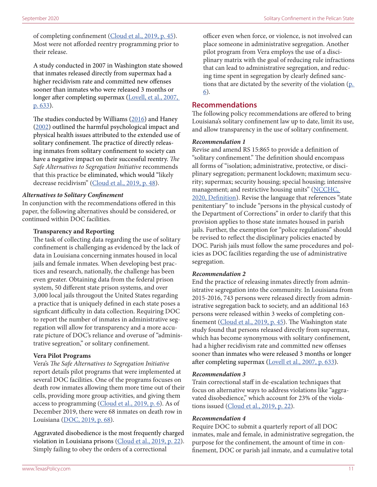<span id="page-10-0"></span>of completing confinement [\(Cloud et al., 2019, p. 45\)](https://www.vera.org/downloads/publications/safe-alternatives-segregation-initiative-findings-recommendations-ldps.pdf). Most were not afforded reentry programming prior to their release.

A study conducted in 2007 in Washington state showed that inmates released directly from supermax had a higher recidivism rate and committed new offenses sooner than inmates who were released 3 months or longer after completing supermax ([Lovell, et al., 2007,](https://journals.sagepub.com/doi/abs/10.1177/0011128706296466)  [p. 633](https://journals.sagepub.com/doi/abs/10.1177/0011128706296466)).

The studies conducted by Williams [\(2016\)](https://doi.org/10.2105/AJPH.2016.303468) and Haney ([2002\)](http://webarchive.urban.org/UploadedPDF/410624_PyschologicalImpact.pdf) outlined the harmful psychological impact and physical health issues attributed to the extended use of solitary confinement. The practice of directly releasing inmates from solitary confinement to society can have a negative impact on their successful reentry. *The Safe Alternatives to Segregation Initiative* recommends that this practice be eliminated, which would "likely decrease recidivism" ([Cloud et al., 2019, p. 48](https://www.vera.org/downloads/publications/safe-alternatives-segregation-initiative-findings-recommendations-ldps.pdf)).

#### *Alternatives to Solitary Confinement*

In conjunction with the recommendations offered in this paper, the following alternatives should be considered, or continued within DOC facilities.

#### **Transparency and Reporting**

The task of collecting data regarding the use of solitary confinement is challenging as evidenced by the lack of data in Louisiana concerning inmates housed in local jails and female inmates. When developing best practices and research, nationally, the challenge has been even greater. Obtaining data from the federal prison system, 50 different state prison systems, and over 3,000 local jails througout the United States regarding a practice that is uniquely defined in each state poses a signficant difficulty in data collection. Requiring DOC to report the number of inmates in administrative segregation will allow for transparency and a more accurate picture of DOC's reliance and overuse of "administrative segreation," or solitary confinement.

#### **Vera Pilot Programs**

Vera's *The Safe Alternatives to Segregation Initiative* report details pilot programs that were implemented at several DOC facilities. One of the programs focuses on death row inmates allowing them more time out of their cells, providing more group activities, and giving them access to programming [\(Cloud et al., 2019, p. 6\)](https://www.vera.org/downloads/publications/safe-alternatives-segregation-initiative-findings-recommendations-ldps.pdf). As of December 2019, there were 68 inmates on death row in Louisiana (DO[C, 2019, p. 68](https://s32082.pcdn.co/wp-content/uploads/2020/03/0B-Demographics-1.pdf)).

Aggravated disobedience is the most frequently charged violation in Louisiana prisons ([Cloud et al., 2019, p. 22](https://www.vera.org/downloads/publications/safe-alternatives-segregation-initiative-findings-recommendations-ldps.pdf)). Simply failing to obey the orders of a correctional

officer even when force, or violence, is not involved can place someone in administrative segregation. Another pilot program from Vera employs the use of a disciplinary matrix with the goal of reducing rule infractions that can lead to administrative segregation, and reducing time spent in segregation by clearly defined sanctions that are dictated by the severity of the violation [\(p.](https://www.vera.org/downloads/publications/safe-alternatives-segregation-initiative-findings-recommendations-ldps.pdf)  [6](https://www.vera.org/downloads/publications/safe-alternatives-segregation-initiative-findings-recommendations-ldps.pdf)).

#### **Recommendations**

The following policy recommendations are offered to bring Louisiana's solitary confinement law up to date, limit its use, and allow transparency in the use of solitary confinement.

#### *Recommendation 1*

Revise and amend RS 15:865 to provide a definition of "solitary confinement." The definition should encompass all forms of "isolation; administrative, protective, or disciplinary segregation; permanent lockdown; maximum security; supermax; security housing; special housing; intensive management; and restrictive housing units" (NCCHC, [2020, Definition\)](https://www.ncchc.org/solitary-confinement). Revise the language that references "state penitentiary" to include "persons in the physical custody of the Department of Corrections" in order to clarify that this provision applies to those state inmates housed in parish jails. Further, the exemption for "police regulations" should be revised to reflect the disciplinary policies enacted by DOC. Parish jails must follow the same procedures and policies as DOC facilities regarding the use of administrative segregation.

#### *Recommendation 2*

End the practice of releasing inmates directly from administrative segregation into the community. In Louisiana from 2015-2016, 743 persons were released directly from administrative segregation back to society, and an additional 163 persons were released within 3 weeks of completing con-finement ([Cloud et al., 2019, p. 45](https://www.vera.org/downloads/publications/safe-alternatives-segregation-initiative-findings-recommendations-ldps.pdf)). The Washington state study found that persons released directly from supermax, which has become synonymous with solitary confinement, had a higher recidivism rate and committed new offenses sooner than inmates who were released 3 months or longer after completing supermax [\(Lovell et al., 2007, p. 633](https://journals.sagepub.com/doi/abs/10.1177/0011128706296466)).

#### *Recommendation 3*

Train correctional staff in de-escalation techniques that focus on alternative ways to address violations like "aggravated disobedience," which account for 23% of the violations issued ([Cloud et al., 2019, p. 22](https://www.vera.org/downloads/publications/safe-alternatives-segregation-initiative-findings-recommendations-ldps.pdf)).

#### *Recommendation 4*

Require DOC to submit a quarterly report of all DOC inmates, male and female, in administrative segregation, the purpose for the confinement, the amount of time in confinement, DOC or parish jail inmate, and a cumulative total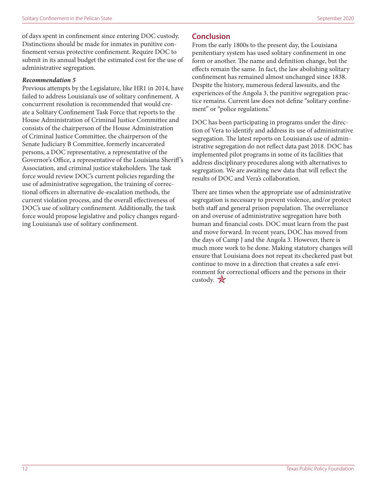<span id="page-11-0"></span>of days spent in confinement since entering DOC custody. Distinctions should be made for inmates in punitive confinement versus protective confinement. Require DOC to submit in its annual budget the estimated cost for the use of administrative segregation.

#### *Recommendation 5*

Previous attempts by the Legislature, like HR1 in 2014, have failed to address Louisiana's use of solitary confinement. A concurrrent resolution is recommended that would create a Solitary Confinement Task Force that reports to the House Administration of Criminal Justice Committee and consists of the chairperson of the House Administration of Criminal Justice Committee, the chairperson of the Senate Judiciary B Committee, formerly incarcerated persons, a DOC representative, a representative of the Governor's Office, a representative of the Louisiana Sheriff 's Association, and criminal justice stakeholders. The task force would review DOC's current policies regarding the use of administrative segregation, the training of correctional officers in alternative de-escalation methods, the current violation process, and the overall effectiveness of DOC's use of solitary confinement. Additionally, the task force would propose legislative and policy changes regarding Louisiana's use of solitary confinement.

#### **Conclusion**

From the early 1800s to the present day, the Louisiana penitentiary system has used solitary confinement in one form or another. The name and definition change, but the effects remain the same. In fact, the law abolishing solitary confinement has remained almost unchanged since 1838. Despite the history, numerous federal lawsuits, and the experiences of the Angola 3, the punitive segregation practice remains. Current law does not define "solitary confinement" or "police regulations."

DOC has been participating in programs under the direction of Vera to identify and address its use of administrative segregation. The latest reports on Louisiana's use of administrative segregation do not reflect data past 2018. DOC has implemented pilot programs in some of its facilities that address disciplinary procedures along with alternatives to segregation. We are awaiting new data that will reflect the results of DOC and Vera's collaboration.

There are times when the appropriate use of administrative segregation is necessary to prevent violence, and/or protect both staff and general prison population. The overreliance on and overuse of administrative segregation have both human and financial costs. DOC must learn from the past and move forward. In recent years, DOC has moved from the days of Camp J and the Angola 3. However, there is much more work to be done. Making statutory changes will ensure that Louisiana does not repeat its checkered past but continue to move in a direction that creates a safe environment for correctional officers and the persons in their custody.  $\mathbb{X}$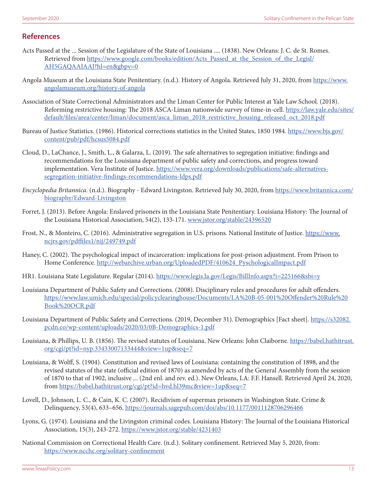#### **References**

- Acts Passed at the ... Session of the Legislature of the State of Louisiana .... (1838). New Orleans: J. C. de St. Romes. Retrieved from [https://www.google.com/books/edition/Acts\\_Passed\\_at\\_the\\_Session\\_of\\_the\\_Legisl/](https://www.google.com/books/edition/Acts_Passed_at_the_Session_of_the_Legisl/AH5GAQAAIAAJ?hl=en&gbpv=0) [AH5GAQAAIAAJ?hl=en&gbpv=0](https://www.google.com/books/edition/Acts_Passed_at_the_Session_of_the_Legisl/AH5GAQAAIAAJ?hl=en&gbpv=0)
- Angola Museum at the Louisiana State Penitentiary. (n.d.). History of Angola. Retrieved July 31, 2020, from [https://www.](https://www.angolamuseum.org/history-of-angola) [angolamuseum.org/history-of-angola](https://www.angolamuseum.org/history-of-angola)
- Association of State Correctional Administrators and the Liman Center for Public Interest at Yale Law School. (2018). Reforming restrictive housing: The 2018 ASCA-Liman nationwide survey of time-in-cell. [https://law.yale.edu/sites/](https://law.yale.edu/sites/default/files/area/center/liman/document/asca_liman_2018_restrictive_housing_released_oct_2018.pdf) [default/files/area/center/liman/document/asca\\_liman\\_2018\\_restrictive\\_housing\\_released\\_oct\\_2018.pdf](https://law.yale.edu/sites/default/files/area/center/liman/document/asca_liman_2018_restrictive_housing_released_oct_2018.pdf)
- Bureau of Justice Statistics. (1986). Historical corrections statistics in the United States, 1850 1984. [https://www.bjs.gov/](https://www.bjs.gov/content/pub/pdf/hcsus5084.pdf) [content/pub/pdf/hcsus5084.pdf](https://www.bjs.gov/content/pub/pdf/hcsus5084.pdf)
- Cloud, D., LaChance, J., Smith, L., & Galarza, L. (2019). The safe alternatives to segregation initiative: findings and recommendations for the Louisiana department of public safety and corrections, and progress toward implementation. Vera Institute of Justice. [https://www.vera.org/downloads/publications/safe-alternatives](https://www.vera.org/downloads/publications/safe-alternatives-segregation-initiative-findings-recommendations-ldps.pdf)[segregation-initiative-findings-recommendations-ldps.pdf](https://www.vera.org/downloads/publications/safe-alternatives-segregation-initiative-findings-recommendations-ldps.pdf)
- *Encyclopedia Britannica*. (n.d.). Biography Edward Livingston. Retrieved July 30, 2020, from [https://www.britannica.com/](https://www.britannica.com/biography/Edward-Livingston) [biography/Edward-Livingston](https://www.britannica.com/biography/Edward-Livingston)
- Forret, J. (2013). Before Angola: Enslaved prisoners in the Louisiana State Penitentiary. Louisiana History: The Journal of the Louisiana Historical Association, 54(2), 133-171. [www.jstor.org/stable/24396520](http://www.jstor.org/stable/24396520)
- Frost, N., & Monteiro, C. (2016). Administrative segregation in U.S. prisons. National Institute of Justice. [https://www.](https://www.ncjrs.gov/pdffiles1/nij/249749.pdf) [ncjrs.gov/pdffiles1/nij/249749.pdf](https://www.ncjrs.gov/pdffiles1/nij/249749.pdf)
- Haney, C. (2002). The psychological impact of incarceration: implications for post-prison adjustment. From Prison to Home Conference. [http://webarchive.urban.org/UploadedPDF/410624\\_PyschologicalImpact.pdf](http://webarchive.urban.org/UploadedPDF/410624_PyschologicalImpact.pdf)
- HR1. Louisiana State Legislature. Regular (2014). <https://www.legis.la.gov/Legis/BillInfo.aspx?i=225166&sbi=y>
- Louisiana Department of Public Safety and Corrections. (2008). Disciplinary rules and procedures for adult offenders. [https://www.law.umich.edu/special/policyclearinghouse/Documents/LA%20B-05-001%20Offender%20Rule%20](https://www.law.umich.edu/special/policyclearinghouse/Documents/LA%20B-05-001%20Offender%20Rule%20Book%20OCR.pdf) [Book%20OCR.pdf](https://www.law.umich.edu/special/policyclearinghouse/Documents/LA%20B-05-001%20Offender%20Rule%20Book%20OCR.pdf)
- Louisiana Department of Public Safety and Corrections. (2019, December 31). Demographics [Fact sheet]. [https://s32082.](https://s32082.pcdn.co/wp-content/uploads/2020/03/0B-Demographics-1.pdf) [pcdn.co/wp-content/uploads/2020/03/0B-Demographics-1.pdf](https://s32082.pcdn.co/wp-content/uploads/2020/03/0B-Demographics-1.pdf)
- Louisiana, & Phillips, U. B. (1856). The revised statutes of Louisiana. New Orleans: John Claiborne. [https://babel.hathitrust.](https://babel.hathitrust.org/cgi/pt?id=nyp.33433007133444&view=1up&seq=7) [org/cgi/pt?id=nyp.33433007133444&view=1up&seq=7](https://babel.hathitrust.org/cgi/pt?id=nyp.33433007133444&view=1up&seq=7)
- Louisiana, & Wolff, S. (1904). Constitution and revised laws of Louisiana: containing the constitution of 1898, and the revised statutes of the state (official edition of 1870) as amended by acts of the General Assembly from the session of 1870 to that of 1902, inclusive ... (2nd enl. and rev. ed.). New Orleans, LA: F.F. Hansell. Retrieved April 24, 2020, from<https://babel.hathitrust.org/cgi/pt?id=hvd.hl39mc&view=1up&seq=7>
- Lovell, D., Johnson, L. C., & Cain, K. C. (2007). Recidivism of supermax prisoners in Washington State. Crime & Delinquency, 53(4), 633–656.<https://journals.sagepub.com/doi/abs/10.1177/0011128706296466>
- Lyons, G. (1974). Louisiana and the Livingston criminal codes. Louisiana History: The Journal of the Louisiana Historical Association, 15(3), 243-272.<https://www.jstor.org/stable/4231403>
- National Commission on Correctional Health Care. (n.d.). Solitary confinement. Retrieved May 5, 2020, from: <https://www.ncchc.org/solitary-confinement>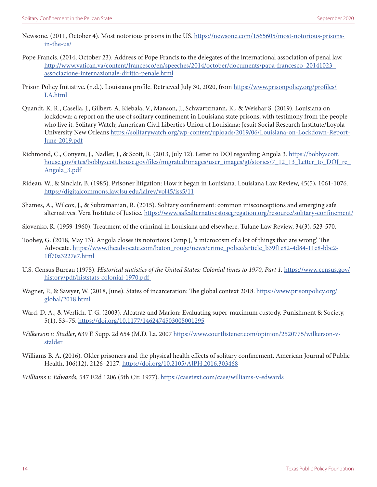- Newsone. (2011, October 4). Most notorious prisons in the US. [https://newsone.com/1565605/most-notorious-prisons](https://newsone.com/1565605/most-notorious-prisons-in-the-us/)[in-the-us/](https://newsone.com/1565605/most-notorious-prisons-in-the-us/)
- Pope Francis. (2014, October 23). Address of Pope Francis to the delegates of the international association of penal law. [http://www.vatican.va/content/francesco/en/speeches/2014/october/documents/papa-francesco\\_20141023\\_](http://www.vatican.va/content/francesco/en/speeches/2014/october/documents/papa-francesco_20141023_associazione-internazionale-diritto-penale.html) [associazione-internazionale-diritto-penale.html](http://www.vatican.va/content/francesco/en/speeches/2014/october/documents/papa-francesco_20141023_associazione-internazionale-diritto-penale.html)
- Prison Policy Initiative. (n.d.). Louisiana profile. Retrieved July 30, 2020, from [https://www.prisonpolicy.org/profiles/](https://www.prisonpolicy.org/profiles/LA.html) [LA.html](https://www.prisonpolicy.org/profiles/LA.html)
- Quandt, K. R., Casella, J., Gilbert, A. Kiebala, V., Manson, J., Schwartzmann, K., & Weishar S. (2019). Louisiana on lockdown: a report on the use of solitary confinement in Louisiana state prisons, with testimony from the people who live it. Solitary Watch; American Civil Liberties Union of Louisiana; Jesuit Social Research Institute/Loyola University New Orleans [https://solitarywatch.org/wp-content/uploads/2019/06/Louisiana-on-Lockdown-Report-](https://solitarywatch.org/wp-content/uploads/2019/06/Louisiana-on-Lockdown-Report-June-2019.pdf)[June-2019.pdf](https://solitarywatch.org/wp-content/uploads/2019/06/Louisiana-on-Lockdown-Report-June-2019.pdf)
- Richmond, C., Conyers, J., Nadler, J., & Scott, R. (2013, July 12). Letter to DOJ regarding Angola 3. [https://bobbyscott.](https://bobbyscott.house.gov/sites/bobbyscott.house.gov/files/migrated/images/user_images/gt/stories/7_12_13_Letter_to_DOJ_re_Angola_3.pdf) [house.gov/sites/bobbyscott.house.gov/files/migrated/images/user\\_images/gt/stories/7\\_12\\_13\\_Letter\\_to\\_DOJ\\_re\\_](https://bobbyscott.house.gov/sites/bobbyscott.house.gov/files/migrated/images/user_images/gt/stories/7_12_13_Letter_to_DOJ_re_Angola_3.pdf) [Angola\\_3.pdf](https://bobbyscott.house.gov/sites/bobbyscott.house.gov/files/migrated/images/user_images/gt/stories/7_12_13_Letter_to_DOJ_re_Angola_3.pdf)
- Rideau, W., & Sinclair, B. (1985). Prisoner litigation: How it began in Louisiana. Louisiana Law Review, 45(5), 1061-1076. <https://digitalcommons.law.lsu.edu/lalrev/vol45/iss5/11>
- Shames, A., Wilcox, J., & Subramanian, R. (2015). Solitary confinement: common misconceptions and emerging safe alternatives. Vera Institute of Justice.<https://www.safealternativestosegregation.org/resource/solitary-confinement/>
- Slovenko, R. (1959-1960). Treatment of the criminal in Louisiana and elsewhere. Tulane Law Review, 34(3), 523-570.
- Toohey, G. (2018, May 13). Angola closes its notorious Camp J, 'a microcosm of a lot of things that are wrong'. The Advocate. [https://www.theadvocate.com/baton\\_rouge/news/crime\\_police/article\\_b39f1e82-4d84-11e8-bbc2-](https://www.theadvocate.com/baton_rouge/news/crime_police/article_b39f1e82-4d84-11e8-bbc2-1ff70a3227e7.html) [1ff70a3227e7.html](https://www.theadvocate.com/baton_rouge/news/crime_police/article_b39f1e82-4d84-11e8-bbc2-1ff70a3227e7.html)
- U.S. Census Bureau (1975). *Historical statistics of the United States: Colonial times to 1970, Part 1.* [https://www.census.gov/](https://www.census.gov/history/pdf/histstats-colonial-1970.pdf) [history/pdf/histstats-colonial-1970.pdf](https://www.census.gov/history/pdf/histstats-colonial-1970.pdf)
- Wagner, P., & Sawyer, W. (2018, June). States of incarceration: The global context 2018. [https://www.prisonpolicy.org/](https://www.prisonpolicy.org/global/2018.html) [global/2018.html](https://www.prisonpolicy.org/global/2018.html)
- Ward, D. A., & Werlich, T. G. (2003). Alcatraz and Marion: Evaluating super-maximum custody. Punishment & Society, 5(1), 53–75.<https://doi.org/10.1177/1462474503005001295>
- *Wilkerson v. Stadler*, 639 F. Supp. 2d 654 (M.D. La. 2007 [https://www.courtlistener.com/opinion/2520775/wilkerson-v](https://www.courtlistener.com/opinion/2520775/wilkerson-v-stalder)[stalder](https://www.courtlistener.com/opinion/2520775/wilkerson-v-stalder)
- Williams B. A. (2016). Older prisoners and the physical health effects of solitary confinement. American Journal of Public Health, 106(12), 2126–2127. <https://doi.org/10.2105/AJPH.2016.303468>

*Williams v. Edwards*, 547 F.2d 1206 (5th Cir. 1977). <https://casetext.com/case/williams-v-edwards>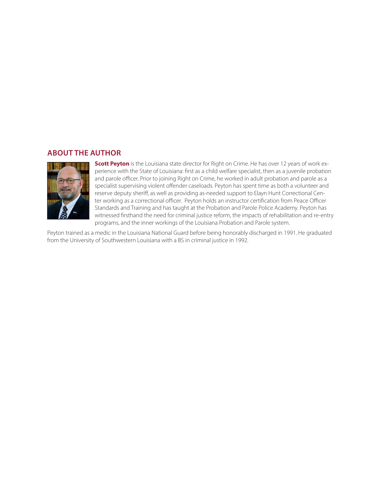#### **ABOUT THE AUTHOR**



**Scott Peyton** is the Louisiana state director for Right on Crime. He has over 12 years of work experience with the State of Louisiana: first as a child welfare specialist, then as a juvenile probation and parole officer. Prior to joining Right on Crime, he worked in adult probation and parole as a specialist supervising violent offender caseloads. Peyton has spent time as both a volunteer and reserve deputy sheriff, as well as providing as-needed support to Elayn Hunt Correctional Center working as a correctional officer. Peyton holds an instructor certification from Peace Officer Standards and Training and has taught at the Probation and Parole Police Academy. Peyton has witnessed firsthand the need for criminal justice reform, the impacts of rehabilitation and re-entry programs, and the inner workings of the Louisiana Probation and Parole system.

Peyton trained as a medic in the Louisiana National Guard before being honorably discharged in 1991. He graduated from the University of Southwestern Louisiana with a BS in criminal justice in 1992.